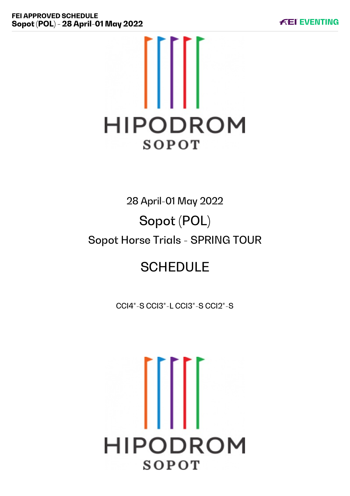

# 28 April-01 May 2022 Sopot (POL) Sopot Horse Trials - SPRING TOUR

# **SCHEDULE**

CCI4\*-S CCI3\*-L CCI3\*-S CCI2\*-S

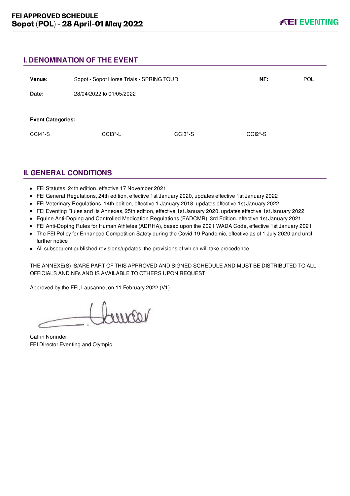# **I. DENOMINATION OF THE EVENT**

| Venue:                   | Sopot - Sopot Horse Trials - SPRING TOUR |         | NF:       | <b>POL</b> |
|--------------------------|------------------------------------------|---------|-----------|------------|
| Date:                    | 28/04/2022 to 01/05/2022                 |         |           |            |
|                          |                                          |         |           |            |
| <b>Event Categories:</b> |                                          |         |           |            |
| $CCI4*-S$                | $CCI3 - L$                               | CCI3*-S | $CCI2*-S$ |            |

# **II. GENERAL CONDITIONS**

- FEI Statutes, 24th edition, effective 17 November 2021
- FEI General Regulations, 24th edition, effective 1st January 2020, updates effective 1st January 2022
- FEI Veterinary Regulations, 14th edition, effective 1 January 2018, updates effective 1st January 2022
- FEI Eventing Rules and its Annexes, 25th edition, effective 1st January 2020, updates effective 1st January 2022
- Equine Anti-Doping and Controlled Medication Regulations (EADCMR), 3rd Edition, effective 1st January 2021
- FEI Anti-Doping Rules for Human Athletes (ADRHA), based upon the 2021 WADA Code, effective 1st January 2021
- The FEI Policy for Enhanced Competition Safety during the Covid-19 Pandemic, effective as of 1 July 2020 and until further notice
- All subsequent published revisions/updates, the provisions of which will take precedence.

THE ANNEXE(S) IS/ARE PART OF THIS APPROVED AND SIGNED SCHEDULE AND MUST BE DISTRIBUTED TO ALL OFFICIALS AND NFs AND IS AVAILABLE TO OTHERS UPON REQUEST

Approved by the FEI, Lausanne, on 11 February 2022 (V1)

Lourcar

Catrin Norinder FEI Director Eventing and Olympic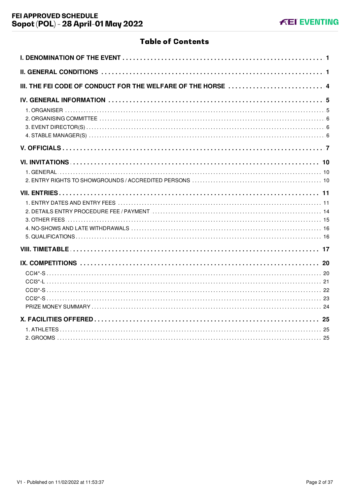# **Table of Contents**

| III. THE FEI CODE OF CONDUCT FOR THE WELFARE OF THE HORSE 4 |
|-------------------------------------------------------------|
|                                                             |
|                                                             |
|                                                             |
|                                                             |
|                                                             |
|                                                             |
|                                                             |
|                                                             |
|                                                             |
|                                                             |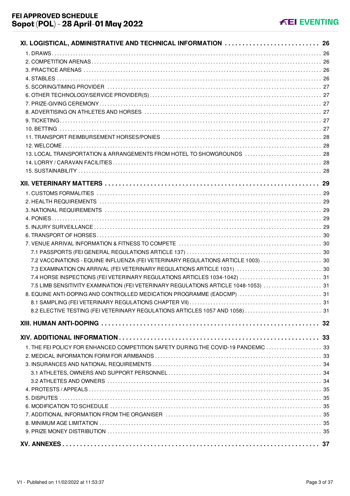| XI. LOGISTICAL, ADMINISTRATIVE AND TECHNICAL INFORMATION  26                        |  |
|-------------------------------------------------------------------------------------|--|
|                                                                                     |  |
|                                                                                     |  |
|                                                                                     |  |
|                                                                                     |  |
|                                                                                     |  |
|                                                                                     |  |
|                                                                                     |  |
|                                                                                     |  |
|                                                                                     |  |
|                                                                                     |  |
|                                                                                     |  |
|                                                                                     |  |
| 13. LOCAL TRANSPORTATION & ARRANGEMENTS FROM HOTEL TO SHOWGROUNDS  28               |  |
|                                                                                     |  |
|                                                                                     |  |
|                                                                                     |  |
|                                                                                     |  |
|                                                                                     |  |
|                                                                                     |  |
|                                                                                     |  |
|                                                                                     |  |
|                                                                                     |  |
|                                                                                     |  |
|                                                                                     |  |
| 7.2 VACCINATIONS - EQUINE INFLUENZA (FEI VETERINARY REGULATIONS ARTICLE 1003)  30   |  |
|                                                                                     |  |
| 7.4 HORSE INSPECTIONS (FEI VETERINARY REGULATIONS ARTICLES 1034-1042)  31           |  |
| 7.5 LIMB SENSITIVITY EXAMINATION (FEI VETERINARY REGULATIONS ARTICLE 1048-1053)  31 |  |
| 8. EQUINE ANTI-DOPING AND CONTROLLED MEDICATION PROGRAMME (EADCMP)  31              |  |
|                                                                                     |  |
| 8.2 ELECTIVE TESTING (FEI VETERINARY REGULATIONS ARTICLES 1057 AND 1058)  31        |  |
|                                                                                     |  |
|                                                                                     |  |
|                                                                                     |  |
| 1. THE FEI POLICY FOR ENHANCED COMPETITION SAFETY DURING THE COVID-19 PANDEMIC  33  |  |
|                                                                                     |  |
|                                                                                     |  |
|                                                                                     |  |
|                                                                                     |  |
|                                                                                     |  |
|                                                                                     |  |
|                                                                                     |  |
|                                                                                     |  |
|                                                                                     |  |
|                                                                                     |  |
|                                                                                     |  |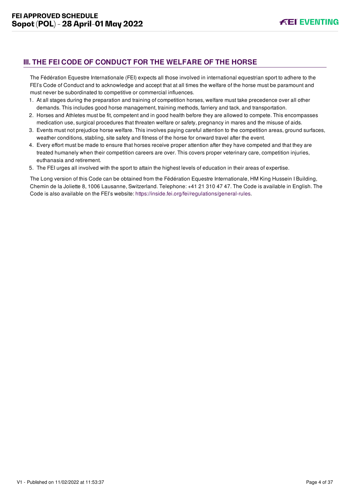# <span id="page-4-0"></span>**III. THE FEI CODE OF CONDUCT FOR THE WELFARE OF THE HORSE**

The Fédération Equestre Internationale (FEI) expects all those involved in international equestrian sport to adhere to the FEI's Code of Conduct and to acknowledge and accept that at all times the welfare of the horse must be paramount and must never be subordinated to competitive or commercial influences.

- 1. At all stages during the preparation and training of competition horses, welfare must take precedence over all other demands. This includes good horse management, training methods, farriery and tack, and transportation.
- 2. Horses and Athletes must be fit, competent and in good health before they are allowed to compete. This encompasses medication use, surgical procedures that threaten welfare or safety, pregnancy in mares and the misuse of aids.
- 3. Events must not prejudice horse welfare. This involves paying careful attention to the competition areas, ground surfaces, weather conditions, stabling, site safety and fitness of the horse for onward travel after the event.
- 4. Every effort must be made to ensure that horses receive proper attention after they have competed and that they are treated humanely when their competition careers are over. This covers proper veterinary care, competition injuries, euthanasia and retirement.
- 5. The FEI urges all involved with the sport to attain the highest levels of education in their areas of expertise.

The Long version of this Code can be obtained from the Fédération Equestre Internationale, HM King Hussein I Building, Chemin de la Joliette 8, 1006 Lausanne, Switzerland. Telephone: +41 21 310 47 47. The Code is available in English. The Code is also available on the FEI's website:<https://inside.fei.org/fei/regulations/general-rules>.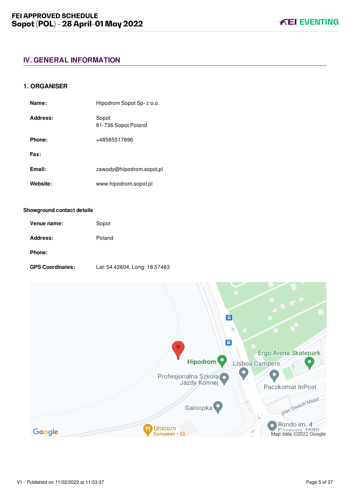# <span id="page-5-0"></span>**IV. GENERAL INFORMATION**

### <span id="page-5-1"></span>**1. ORGANISER**

| Name:    | Hipodrom Sopot Sp- z o.o.    |
|----------|------------------------------|
| Address: | Sopot<br>81-736 Sopot Poland |
| Phone:   | +48585517896                 |
| Fax:     |                              |
| Email:   | zawody@hipodrom.sopot.pl     |
| Website: | www.hipodrom.sopot.pl        |

#### **Showground contact details**

| Venue name: | Sopot  |
|-------------|--------|
| Address:    | Poland |
| Phone:      |        |

**GPS Coordinates:** Lat: 54.42604, Long: 18.57483

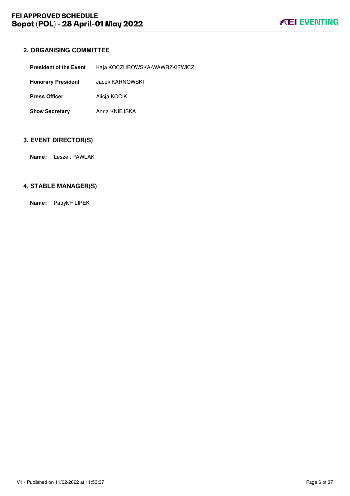# <span id="page-6-0"></span>**2. ORGANISING COMMITTEE**

| <b>President of the Event</b> | Kaja KOCZUROWSKA-WAWRZKIEWICZ |
|-------------------------------|-------------------------------|
| <b>Honorary President</b>     | Jacek KARNOWSKI               |
| <b>Press Officer</b>          | Alicja KOCIK                  |
| <b>Show Secretary</b>         | Anna KNIEJSKA                 |

# <span id="page-6-1"></span>**3. EVENT DIRECTOR(S)**

**Name:** Leszek PAWLAK

# <span id="page-6-2"></span>**4. STABLE MANAGER(S)**

**Name:** Patryk FILIPEK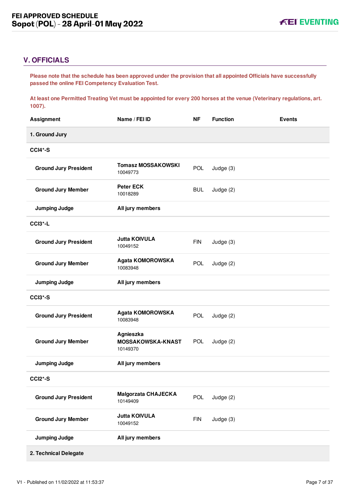# <span id="page-7-0"></span>**V. OFFICIALS**

**Please note that the schedule has been approved under the provision that all appointed Officials have successfully passed the online FEI Competency Evaluation Test.** 

**At least one Permitted Treating Vet must be appointed for every 200 horses at the venue (Veterinary regulations, art. 1007).**

| <b>Assignment</b>            | Name / FEI ID                              | <b>NF</b>  | <b>Function</b> | <b>Events</b> |
|------------------------------|--------------------------------------------|------------|-----------------|---------------|
| 1. Ground Jury               |                                            |            |                 |               |
| CCI4*-S                      |                                            |            |                 |               |
| <b>Ground Jury President</b> | <b>Tomasz MOSSAKOWSKI</b><br>10049773      | POL        | Judge (3)       |               |
| <b>Ground Jury Member</b>    | <b>Peter ECK</b><br>10018289               | <b>BUL</b> | Judge (2)       |               |
| <b>Jumping Judge</b>         | All jury members                           |            |                 |               |
| CCI3*-L                      |                                            |            |                 |               |
| <b>Ground Jury President</b> | <b>Jutta KOIVULA</b><br>10049152           | <b>FIN</b> | Judge (3)       |               |
| <b>Ground Jury Member</b>    | <b>Agata KOMOROWSKA</b><br>10083948        | POL        | Judge (2)       |               |
| <b>Jumping Judge</b>         | All jury members                           |            |                 |               |
| CCI3*-S                      |                                            |            |                 |               |
| <b>Ground Jury President</b> | Agata KOMOROWSKA<br>10083948               | POL        | Judge (2)       |               |
| <b>Ground Jury Member</b>    | Agnieszka<br>MOSSAKOWSKA-KNAST<br>10149370 | <b>POL</b> | Judge (2)       |               |
| <b>Jumping Judge</b>         | All jury members                           |            |                 |               |
| CCI2*-S                      |                                            |            |                 |               |
| <b>Ground Jury President</b> | <b>Malgorzata CHAJECKA</b><br>10149409     | <b>POL</b> | Judge (2)       |               |
| <b>Ground Jury Member</b>    | <b>Jutta KOIVULA</b><br>10049152           | <b>FIN</b> | Judge (3)       |               |
| <b>Jumping Judge</b>         | All jury members                           |            |                 |               |
| 2. Technical Delegate        |                                            |            |                 |               |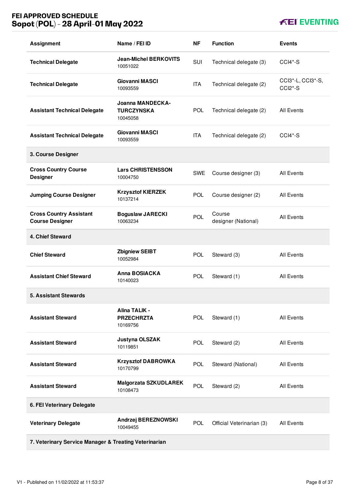# **FEI APPROVED SCHEDULE Sopot (POL) - 28 April-01 May 2022**

# **KEI EVENTING**

| <b>Assignment</b>                                        | Name / FEI ID                                            | ΝF         | <b>Function</b>               | <b>Events</b>                             |
|----------------------------------------------------------|----------------------------------------------------------|------------|-------------------------------|-------------------------------------------|
| <b>Technical Delegate</b>                                | <b>Jean-Michel BERKOVITS</b><br>10051022                 | SUI        | Technical delegate (3)        | $CCI4*-S$                                 |
| <b>Technical Delegate</b>                                | <b>Giovanni MASCI</b><br>10093559                        | <b>ITA</b> | Technical delegate (2)        | CCI3*-L, CCI3*-S,<br>CCI <sub>2</sub> *-S |
| <b>Assistant Technical Delegate</b>                      | <b>Joanna MANDECKA-</b><br><b>TURCZYNSKA</b><br>10045058 | <b>POL</b> | Technical delegate (2)        | <b>All Events</b>                         |
| <b>Assistant Technical Delegate</b>                      | <b>Giovanni MASCI</b><br>10093559                        | <b>ITA</b> | Technical delegate (2)        | $CCI4*-S$                                 |
| 3. Course Designer                                       |                                                          |            |                               |                                           |
| <b>Cross Country Course</b><br><b>Designer</b>           | <b>Lars CHRISTENSSON</b><br>10004750                     | <b>SWE</b> | Course designer (3)           | <b>All Events</b>                         |
| <b>Jumping Course Designer</b>                           | <b>Krzysztof KIERZEK</b><br>10137214                     | <b>POL</b> | Course designer (2)           | <b>All Events</b>                         |
| <b>Cross Country Assistant</b><br><b>Course Designer</b> | <b>Boguslaw JARECKI</b><br>10063234                      | POL        | Course<br>designer (National) | <b>All Events</b>                         |
| 4. Chief Steward                                         |                                                          |            |                               |                                           |
| <b>Chief Steward</b>                                     | <b>Zbigniew SEIBT</b><br>10052984                        | <b>POL</b> | Steward (3)                   | <b>All Events</b>                         |
| <b>Assistant Chief Steward</b>                           | <b>Anna BOSIACKA</b><br>10140023                         | <b>POL</b> | Steward (1)                   | <b>All Events</b>                         |
| <b>5. Assistant Stewards</b>                             |                                                          |            |                               |                                           |
| <b>Assistant Steward</b>                                 | <b>Alina TALIK -</b><br><b>PRZECHRZTA</b><br>10169756    | POL        | Steward (1)                   | <b>All Events</b>                         |
| <b>Assistant Steward</b>                                 | Justyna OLSZAK<br>10119851                               | <b>POL</b> | Steward (2)                   | All Events                                |
| <b>Assistant Steward</b>                                 | <b>Krzysztof DABROWKA</b><br>10170799                    | <b>POL</b> | Steward (National)            | All Events                                |
| <b>Assistant Steward</b>                                 | <b>Malgorzata SZKUDLAREK</b><br>10108473                 | <b>POL</b> | Steward (2)                   | All Events                                |
| 6. FEI Veterinary Delegate                               |                                                          |            |                               |                                           |
| <b>Veterinary Delegate</b>                               | Andrzej BEREZNOWSKI<br>10049455                          | <b>POL</b> | Official Veterinarian (3)     | <b>All Events</b>                         |
| 7. Veterinary Service Manager & Treating Veterinarian    |                                                          |            |                               |                                           |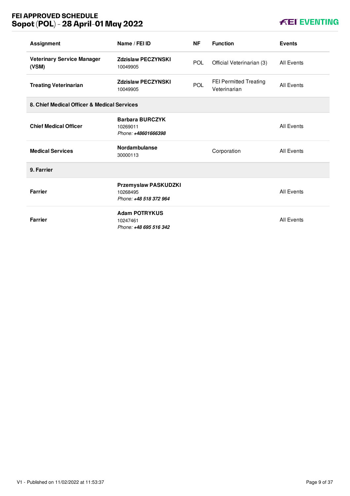# **FEI APPROVED SCHEDULE Sopot (POL) - 28 April-01 May 2022**

# **KEI EVENTING**

| <b>Assignment</b>                           | Name / FEI ID                                              | <b>NF</b>  | <b>Function</b>                        | <b>Events</b>     |
|---------------------------------------------|------------------------------------------------------------|------------|----------------------------------------|-------------------|
| <b>Veterinary Service Manager</b><br>(VSM)  | <b>Zdzislaw PECZYNSKI</b><br>10049905                      | <b>POL</b> | Official Veterinarian (3)              | All Events        |
| <b>Treating Veterinarian</b>                | <b>Zdzislaw PECZYNSKI</b><br>10049905                      | <b>POL</b> | FEI Permitted Treating<br>Veterinarian | <b>All Events</b> |
| 8. Chief Medical Officer & Medical Services |                                                            |            |                                        |                   |
| <b>Chief Medical Officer</b>                | <b>Barbara BURCZYK</b><br>10269011<br>Phone: +48601666398  |            |                                        | <b>All Events</b> |
| <b>Medical Services</b>                     | <b>Nordambulanse</b><br>30000113                           |            | Corporation                            | All Events        |
| 9. Farrier                                  |                                                            |            |                                        |                   |
| <b>Farrier</b>                              | Przemyslaw PASKUDZKI<br>10268495<br>Phone: +48 518 372 964 |            |                                        | <b>All Events</b> |
| <b>Farrier</b>                              | <b>Adam POTRYKUS</b><br>10247461<br>Phone: +48 695 516 342 |            |                                        | <b>All Events</b> |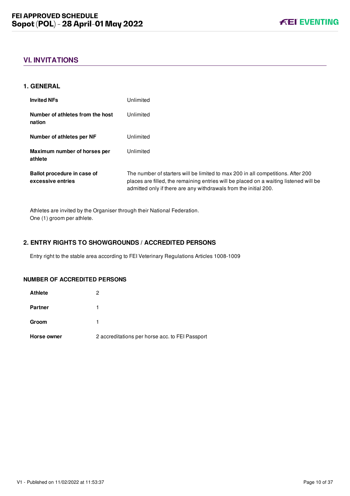# <span id="page-10-0"></span>**VI. INVITATIONS**

#### <span id="page-10-1"></span>**1. GENERAL**

| <b>Invited NFs</b>                               | Unlimited                                                                                                                                                                                                                                     |
|--------------------------------------------------|-----------------------------------------------------------------------------------------------------------------------------------------------------------------------------------------------------------------------------------------------|
| Number of athletes from the host<br>nation       | Unlimited                                                                                                                                                                                                                                     |
| Number of athletes per NF                        | Unlimited                                                                                                                                                                                                                                     |
| Maximum number of horses per<br>athlete          | Unlimited                                                                                                                                                                                                                                     |
| Ballot procedure in case of<br>excessive entries | The number of starters will be limited to max 200 in all competitions. After 200<br>places are filled, the remaining entries will be placed on a waiting listened will be<br>admitted only if there are any withdrawals from the initial 200. |

Athletes are invited by the Organiser through their National Federation. One (1) groom per athlete.

## <span id="page-10-2"></span>**2. ENTRY RIGHTS TO SHOWGROUNDS / ACCREDITED PERSONS**

Entry right to the stable area according to FEI Veterinary Regulations Articles 1008-1009

#### **NUMBER OF ACCREDITED PERSONS**

| <b>Athlete</b> | 2                                               |
|----------------|-------------------------------------------------|
| <b>Partner</b> |                                                 |
| Groom          |                                                 |
| Horse owner    | 2 accreditations per horse acc. to FEI Passport |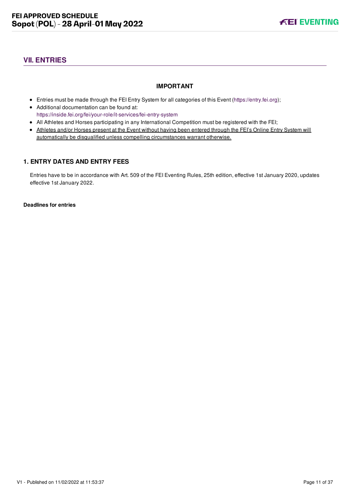# <span id="page-11-0"></span>**VII. ENTRIES**

## **IMPORTANT**

- Entries must be made through the FEI Entry System for all categories of this Event ([https://entry.fei.org\)](https://entry.fei.org);
- Additional documentation can be found at: <https://inside.fei.org/fei/your-role/it-services/fei-entry-system>
- All Athletes and Horses participating in any International Competition must be registered with the FEI;
- Athletes and/or Horses present at the Event without having been entered through the FEI's Online Entry System will automatically be disqualified unless compelling circumstances warrant otherwise.

# <span id="page-11-1"></span>**1. ENTRY DATES AND ENTRY FEES**

Entries have to be in accordance with Art. 509 of the FEI Eventing Rules, 25th edition, effective 1st January 2020, updates effective 1st January 2022.

**Deadlines for entries**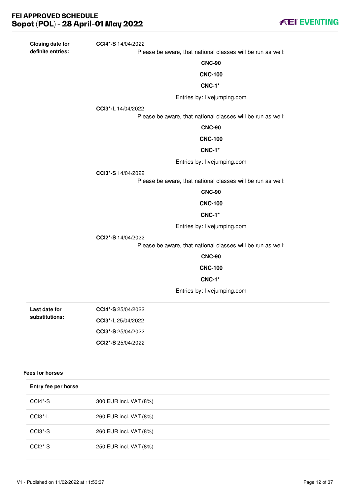**Closing date for definite entries:**

Please be aware, that national classes will be run as well:

**CNC-90**

#### **CNC-100**

#### **CNC-1\***

Entries by: livejumping.com

**CCI3\*-L** 14/04/2022

**CCI4\*-S** 14/04/2022

Please be aware, that national classes will be run as well:

#### **CNC-90**

#### **CNC-100**

#### **CNC-1\***

Entries by: livejumping.com

**CCI3\*-S** 14/04/2022

Please be aware, that national classes will be run as well:

**CNC-90**

#### **CNC-100**

#### **CNC-1\***

Entries by: livejumping.com

**CCI2\*-S** 14/04/2022

Please be aware, that national classes will be run as well:

#### **CNC-90**

#### **CNC-100**

#### **CNC-1\***

Entries by: livejumping.com

| Last date for  | $CCI4*-S 25/04/2022$ |
|----------------|----------------------|
| substitutions: | CCI3*-L 25/04/2022   |
|                | $CCI3*-S$ 25/04/2022 |
|                | CCI2*-S $25/04/2022$ |

## **Fees for horses**

| Entry fee per horse              |                        |
|----------------------------------|------------------------|
| CCI4*-S                          | 300 EUR incl. VAT (8%) |
| $CCI3 - L$                       | 260 EUR incl. VAT (8%) |
| CCI3 <sup>*</sup> -S             | 260 EUR incl. VAT (8%) |
| CCI <sub>2</sub> <sup>*</sup> -S | 250 EUR incl. VAT (8%) |

**FEI EVENTING**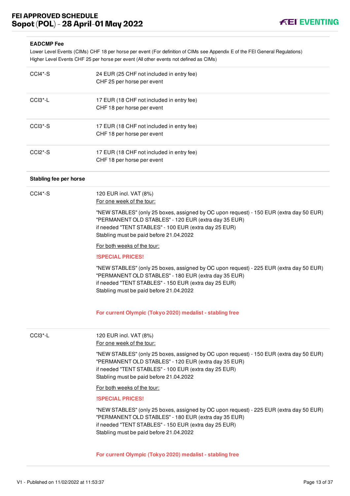

#### **EADCMP Fee**

Lower Level Events (CIMs) CHF 18 per horse per event (For definition of CIMs see Appendix E of the FEI General Regulations) Higher Level Events CHF 25 per horse per event (All other events not defined as CIMs)

| $CCI4*-S$              | 24 EUR (25 CHF not included in entry fee)<br>CHF 25 per horse per event                                                                                                                                                                             |
|------------------------|-----------------------------------------------------------------------------------------------------------------------------------------------------------------------------------------------------------------------------------------------------|
| CCI3*-L                | 17 EUR (18 CHF not included in entry fee)<br>CHF 18 per horse per event                                                                                                                                                                             |
| CCI3*-S                | 17 EUR (18 CHF not included in entry fee)<br>CHF 18 per horse per event                                                                                                                                                                             |
| $CCI2*-S$              | 17 EUR (18 CHF not included in entry fee)<br>CHF 18 per horse per event                                                                                                                                                                             |
| Stabling fee per horse |                                                                                                                                                                                                                                                     |
| $CCI4*-S$              | 120 EUR incl. VAT (8%)<br>For one week of the tour:                                                                                                                                                                                                 |
|                        | "NEW STABLES" (only 25 boxes, assigned by OC upon request) - 150 EUR (extra day 50 EUR)<br>"PERMANENT OLD STABLES" - 120 EUR (extra day 35 EUR)<br>if needed "TENT STABLES" - 100 EUR (extra day 25 EUR)<br>Stabling must be paid before 21.04.2022 |
|                        | For both weeks of the tour:                                                                                                                                                                                                                         |
|                        | <b>ISPECIAL PRICES!</b>                                                                                                                                                                                                                             |
|                        | "NEW STABLES" (only 25 boxes, assigned by OC upon request) - 225 EUR (extra day 50 EUR)<br>"PERMANENT OLD STABLES" - 180 EUR (extra day 35 EUR)<br>if needed "TENT STABLES" - 150 EUR (extra day 25 EUR)<br>Stabling must be paid before 21.04.2022 |
|                        | For current Olympic (Tokyo 2020) medalist - stabling free                                                                                                                                                                                           |
| CCI3*-L                | 120 EUR incl. VAT (8%)<br>For one week of the tour:                                                                                                                                                                                                 |
|                        | "NEW STABLES" (only 25 boxes, assigned by OC upon request) - 150 EUR (extra day 50 EUR)<br>"PERMANENT OLD STABLES" - 120 EUR (extra day 35 EUR)<br>if needed "TENT STABLES" - 100 EUR (extra day 25 EUR)<br>Stabling must be paid before 21.04.2022 |
|                        | For both weeks of the tour:                                                                                                                                                                                                                         |
|                        | <b>ISPECIAL PRICES!</b>                                                                                                                                                                                                                             |
|                        | "NEW STABLES" (only 25 boxes, assigned by OC upon request) - 225 EUR (extra day 50 EUR)<br>"PERMANENT OLD STABLES" - 180 EUR (extra day 35 EUR)<br>if needed "TENT STABLES" - 150 EUR (extra day 25 EUR)<br>Stabling must be paid before 21.04.2022 |
|                        | For current Olympic (Tokyo 2020) medalist - stabling free                                                                                                                                                                                           |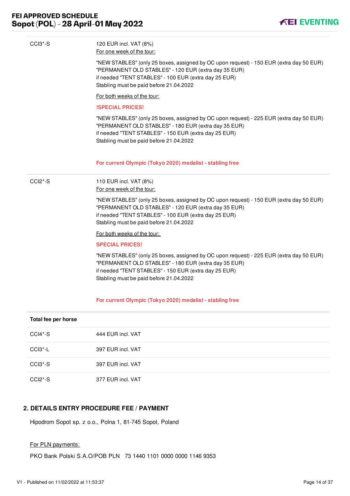

| CCI3*-S              | 120 EUR incl. VAT (8%)<br>For one week of the tour:                                                                                                                                                                                                 |
|----------------------|-----------------------------------------------------------------------------------------------------------------------------------------------------------------------------------------------------------------------------------------------------|
|                      | "NEW STABLES" (only 25 boxes, assigned by OC upon request) - 150 EUR (extra day 50 EUR)<br>"PERMANENT OLD STABLES" - 120 EUR (extra day 35 EUR)<br>if needed "TENT STABLES" - 100 EUR (extra day 25 EUR)<br>Stabling must be paid before 21.04.2022 |
|                      | For both weeks of the tour:                                                                                                                                                                                                                         |
|                      | <b>ISPECIAL PRICES!</b>                                                                                                                                                                                                                             |
|                      | "NEW STABLES" (only 25 boxes, assigned by OC upon request) - 225 EUR (extra day 50 EUR)<br>"PERMANENT OLD STABLES" - 180 EUR (extra day 35 EUR)<br>if needed "TENT STABLES" - 150 EUR (extra day 25 EUR)<br>Stabling must be paid before 21.04.2022 |
|                      | For current Olympic (Tokyo 2020) medalist - stabling free                                                                                                                                                                                           |
| CCI <sub>2</sub> *-S | 110 EUR incl. VAT (8%)<br>For one week of the tour:                                                                                                                                                                                                 |
|                      | "NEW STABLES" (only 25 boxes, assigned by OC upon request) - 150 EUR (extra day 50 EUR)<br>"PERMANENT OLD STABLES" - 120 EUR (extra day 35 EUR)<br>if needed "TENT STABLES" - 100 EUR (extra day 25 EUR)<br>Stabling must be paid before 21.04.2022 |
|                      | For both weeks of the tour:                                                                                                                                                                                                                         |
|                      | <b>SPECIAL PRICES!</b>                                                                                                                                                                                                                              |
|                      | "NEW STABLES" (only 25 boxes, assigned by OC upon request) - 225 EUR (extra day 50 EUR)<br>"PERMANENT OLD STABLES" - 180 EUR (extra day 35 EUR)<br>if needed "TENT STABLES" - 150 EUR (extra day 25 EUR)<br>Stabling must be paid before 21.04.2022 |
|                      |                                                                                                                                                                                                                                                     |

| Total fee per horse  |                   |  |
|----------------------|-------------------|--|
| CCI4*-S              | 444 EUR incl. VAT |  |
| CCI3 <sup>*</sup> -L | 397 EUR incl. VAT |  |
| CCI3 <sup>*</sup> -S | 397 EUR incl. VAT |  |
| $CCI2*-S$            | 377 EUR incl. VAT |  |

# <span id="page-14-0"></span>**2. DETAILS ENTRY PROCEDURE FEE / PAYMENT**

Hipodrom Sopot sp. z o.o., Polna 1, 81-745 Sopot, Poland

# For PLN payments:

PKO Bank Polski S.A.O/POB PLN 73 1440 1101 0000 0000 1146 9353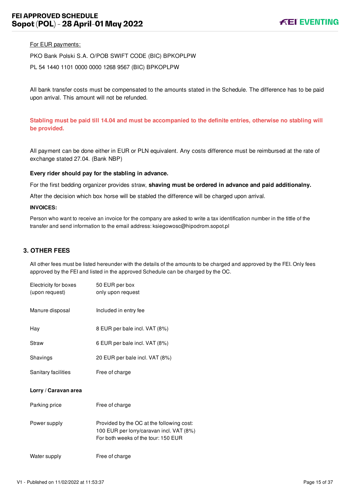#### For EUR payments:

PKO Bank Polski S.A. O/POB SWIFT CODE (BIC) BPKOPLPW

PL 54 1440 1101 0000 0000 1268 9567 (BIC) BPKOPLPW

All bank transfer costs must be compensated to the amounts stated in the Schedule. The difference has to be paid upon arrival. This amount will not be refunded.

**Stabling must be paid till 14.04 and must be accompanied to the definite entries, otherwise no stabling will be provided.** 

All payment can be done either in EUR or PLN equivalent. Any costs difference must be reimbursed at the rate of exchange stated 27.04. (Bank NBP)

#### **Every rider should pay for the stabling in advance.**

For the first bedding organizer provides straw, **shaving must be ordered in advance and paid additionalny.**

After the decision which box horse will be stabled the difference will be charged upon arrival.

#### **INVOICES:**

Person who want to receive an invoice for the company are asked to write a tax identification number in the tittle of the transfer and send information to the email address: ksiegowosc@hipodrom.sopot.pl

#### <span id="page-15-0"></span>**3. OTHER FEES**

All other fees must be listed hereunder with the details of the amounts to be charged and approved by the FEI. Only fees approved by the FEI and listed in the approved Schedule can be charged by the OC.

| Electricity for boxes<br>(upon request) | 50 EUR per box<br>only upon request                                                                                          |
|-----------------------------------------|------------------------------------------------------------------------------------------------------------------------------|
| Manure disposal                         | Included in entry fee                                                                                                        |
| Hay                                     | 8 EUR per bale incl. VAT (8%)                                                                                                |
| Straw                                   | 6 EUR per bale incl. VAT (8%)                                                                                                |
| Shavings                                | 20 EUR per bale incl. VAT (8%)                                                                                               |
| Sanitary facilities                     | Free of charge                                                                                                               |
| Lorry / Caravan area                    |                                                                                                                              |
| Parking price                           | Free of charge                                                                                                               |
| Power supply                            | Provided by the OC at the following cost:<br>100 EUR per lorry/caravan incl. VAT (8%)<br>For both weeks of the tour: 150 EUR |
| Water supply                            | Free of charge                                                                                                               |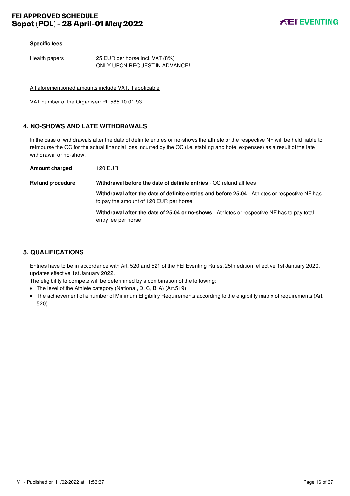#### **Specific fees**

Health papers 25 EUR per horse incl. VAT (8%) ONLY UPON REQUEST IN ADVANCE!

All aforementioned amounts include VAT, if applicable

VAT number of the Organiser: PL 585 10 01 93

## <span id="page-16-0"></span>**4. NO-SHOWS AND LATE WITHDRAWALS**

In the case of withdrawals after the date of definite entries or no-shows the athlete or the respective NF will be held liable to reimburse the OC for the actual financial loss incurred by the OC (i.e. stabling and hotel expenses) as a result of the late withdrawal or no-show.

| <b>Amount charged</b>   | 120 EUR                                                                                                                                  |
|-------------------------|------------------------------------------------------------------------------------------------------------------------------------------|
| <b>Refund procedure</b> | Withdrawal before the date of definite entries - OC refund all fees                                                                      |
|                         | Withdrawal after the date of definite entries and before 25.04 - Athletes or respective NF has<br>to pay the amount of 120 EUR per horse |
|                         | Withdrawal after the date of 25.04 or no-shows - Athletes or respective NF has to pay total<br>entry fee per horse                       |

## <span id="page-16-1"></span>**5. QUALIFICATIONS**

Entries have to be in accordance with Art. 520 and 521 of the FEI Eventing Rules, 25th edition, effective 1st January 2020, updates effective 1st January 2022.

The eligibility to compete will be determined by a combination of the following:

- The level of the Athlete category (National, D, C, B, A) (Art.519)
- The achievement of a number of Minimum Eligibility Requirements according to the eligibility matrix of requirements (Art. 520)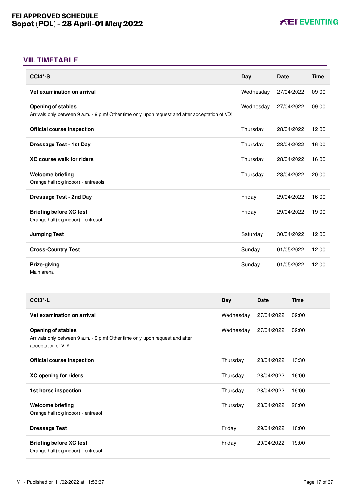# <span id="page-17-0"></span>**VIII. TIMETABLE**

| $CCI4*-S$                                                                                                                    | Day       | <b>Date</b> | <b>Time</b> |
|------------------------------------------------------------------------------------------------------------------------------|-----------|-------------|-------------|
| Vet examination on arrival                                                                                                   | Wednesday | 27/04/2022  | 09:00       |
| <b>Opening of stables</b><br>Arrivals only between 9 a.m. - 9 p.m! Other time only upon request and after acceptation of VD! | Wednesday | 27/04/2022  | 09:00       |
| <b>Official course inspection</b>                                                                                            | Thursday  | 28/04/2022  | 12:00       |
| <b>Dressage Test - 1st Day</b>                                                                                               | Thursday  | 28/04/2022  | 16:00       |
| <b>XC course walk for riders</b>                                                                                             | Thursday  | 28/04/2022  | 16:00       |
| <b>Welcome briefing</b><br>Orange hall (big indoor) - entresols                                                              | Thursday  | 28/04/2022  | 20:00       |
| <b>Dressage Test - 2nd Day</b>                                                                                               | Friday    | 29/04/2022  | 16:00       |
| <b>Briefing before XC test</b><br>Orange hall (big indoor) - entresol                                                        | Friday    | 29/04/2022  | 19:00       |
| <b>Jumping Test</b>                                                                                                          | Saturday  | 30/04/2022  | 12:00       |
| <b>Cross-Country Test</b>                                                                                                    | Sunday    | 01/05/2022  | 12:00       |
| Prize-giving<br>Main arena                                                                                                   | Sunday    | 01/05/2022  | 12:00       |

| CCI <sub>3</sub> <sup>*</sup> -L                                                                                                | Day       | <b>Date</b> | <b>Time</b> |
|---------------------------------------------------------------------------------------------------------------------------------|-----------|-------------|-------------|
| Vet examination on arrival                                                                                                      | Wednesday | 27/04/2022  | 09:00       |
| <b>Opening of stables</b><br>Arrivals only between 9 a.m. - 9 p.m! Other time only upon request and after<br>acceptation of VD! | Wednesday | 27/04/2022  | 09:00       |
| Official course inspection                                                                                                      | Thursday  | 28/04/2022  | 13:30       |
| XC opening for riders                                                                                                           | Thursday  | 28/04/2022  | 16:00       |
| 1st horse inspection                                                                                                            | Thursday  | 28/04/2022  | 19:00       |
| <b>Welcome briefing</b><br>Orange hall (big indoor) - entresol                                                                  | Thursday  | 28/04/2022  | 20:00       |
| <b>Dressage Test</b>                                                                                                            | Friday    | 29/04/2022  | 10:00       |
| <b>Briefing before XC test</b><br>Orange hall (big indoor) - entresol                                                           | Friday    | 29/04/2022  | 19:00       |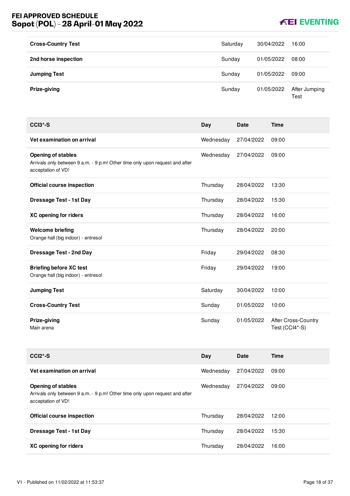# **FEI APPROVED SCHEDULE Sopot (POL) - 28 April-01 May 2022**

# **KEI EVENTING**

| <b>Cross-Country Test</b> | Saturday | 30/04/2022 | 16:00                 |
|---------------------------|----------|------------|-----------------------|
| 2nd horse inspection      | Sunday   | 01/05/2022 | 08:00                 |
| <b>Jumping Test</b>       | Sunday   | 01/05/2022 | 09:00                 |
| Prize-giving              | Sunday   | 01/05/2022 | After Jumping<br>Test |

| $CCI3*-S$                                                                                                                       | Day       | <b>Date</b> | <b>Time</b>                                  |
|---------------------------------------------------------------------------------------------------------------------------------|-----------|-------------|----------------------------------------------|
| Vet examination on arrival                                                                                                      | Wednesday | 27/04/2022  | 09:00                                        |
| <b>Opening of stables</b><br>Arrivals only between 9 a.m. - 9 p.m! Other time only upon request and after<br>acceptation of VD! | Wednesday | 27/04/2022  | 09:00                                        |
| <b>Official course inspection</b>                                                                                               | Thursday  | 28/04/2022  | 13:30                                        |
| <b>Dressage Test - 1st Day</b>                                                                                                  | Thursday  | 28/04/2022  | 15:30                                        |
| <b>XC opening for riders</b>                                                                                                    | Thursday  | 28/04/2022  | 16:00                                        |
| <b>Welcome briefing</b><br>Orange hall (big indoor) - entresol                                                                  | Thursday  | 28/04/2022  | 20:00                                        |
| <b>Dressage Test - 2nd Day</b>                                                                                                  | Friday    | 29/04/2022  | 08:30                                        |
| <b>Briefing before XC test</b><br>Orange hall (big indoor) - entresol                                                           | Friday    | 29/04/2022  | 19:00                                        |
| <b>Jumping Test</b>                                                                                                             | Saturday  | 30/04/2022  | 10:00                                        |
| <b>Cross-Country Test</b>                                                                                                       | Sunday    | 01/05/2022  | 10:00                                        |
| Prize-giving<br>Main arena                                                                                                      | Sunday    | 01/05/2022  | <b>After Cross-Country</b><br>Test (CCI4*-S) |

| $CCI2*-S$                                                                                                                       | Day       | <b>Date</b> | Time  |
|---------------------------------------------------------------------------------------------------------------------------------|-----------|-------------|-------|
| Vet examination on arrival                                                                                                      | Wednesday | 27/04/2022  | 09:00 |
| <b>Opening of stables</b><br>Arrivals only between 9 a.m. - 9 p.m! Other time only upon request and after<br>acceptation of VD! | Wednesday | 27/04/2022  | 09:00 |
| <b>Official course inspection</b>                                                                                               | Thursday  | 28/04/2022  | 12:00 |
| Dressage Test - 1st Day                                                                                                         | Thursday  | 28/04/2022  | 15:30 |
| XC opening for riders                                                                                                           | Thursday  | 28/04/2022  | 16:00 |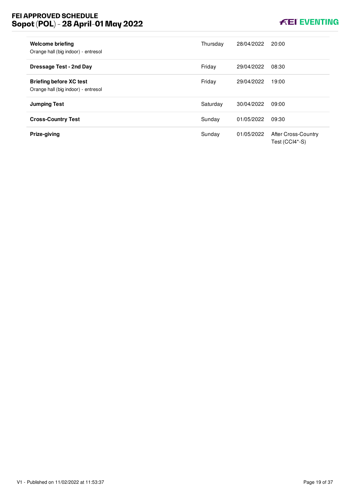# **FEI APPROVED SCHEDULE Sopot (POL) - 28 April-01 May 2022**

# **KEI EVENTING**

| <b>Welcome briefing</b><br>Orange hall (big indoor) - entresol        | Thursday | 28/04/2022 | 20:00                                        |
|-----------------------------------------------------------------------|----------|------------|----------------------------------------------|
| Dressage Test - 2nd Day                                               | Friday   | 29/04/2022 | 08:30                                        |
| <b>Briefing before XC test</b><br>Orange hall (big indoor) - entresol | Friday   | 29/04/2022 | 19:00                                        |
| <b>Jumping Test</b>                                                   | Saturday | 30/04/2022 | 09:00                                        |
| <b>Cross-Country Test</b>                                             | Sunday   | 01/05/2022 | 09:30                                        |
| Prize-giving                                                          | Sunday   | 01/05/2022 | <b>After Cross-Country</b><br>Test (CCI4*-S) |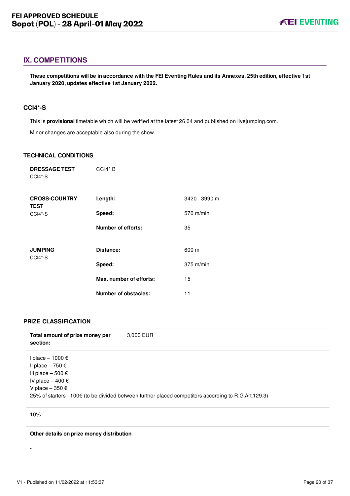# <span id="page-20-0"></span>**IX. COMPETITIONS**

**These competitions will be in accordance with the FEI Eventing Rules and its Annexes, 25th edition, effective 1st January 2020, updates effective 1st January 2022.**

#### <span id="page-20-1"></span>**CCI4\*-S**

This is **provisional** timetable which will be verified at the latest 26.04 and published on livejumping.com. Minor changes are acceptable also during the show.

#### **TECHNICAL CONDITIONS**

| <b>DRESSAGE TEST</b><br>CCI4*-S     | CCI4* B                     |               |
|-------------------------------------|-----------------------------|---------------|
| <b>CROSS-COUNTRY</b><br><b>TEST</b> | Length:                     | 3420 - 3990 m |
| CCI4*-S                             | Speed:                      | 570 m/min     |
|                                     | Number of efforts:          | 35            |
|                                     |                             |               |
| <b>JUMPING</b><br>CCI4*-S           | Distance:                   | 600 m         |
|                                     | Speed:                      | $375$ m/min   |
|                                     | Max. number of efforts:     | 15            |
|                                     | <b>Number of obstacles:</b> | 11            |

#### **PRIZE CLASSIFICATION**

| Total amount of prize money per<br>section:                                                                                          | 3,000 EUR                                                                                            |
|--------------------------------------------------------------------------------------------------------------------------------------|------------------------------------------------------------------------------------------------------|
| l place – 1000 €<br>Il place – 750 €<br>III place $-500 \text{ } \in$<br>IV place $-400 \text{ } \in$<br>V place $-350 \text{ } \in$ | 25% of starters - 100€ (to be divided between further placed competitors according to R.G.Art.129.3) |

10%

-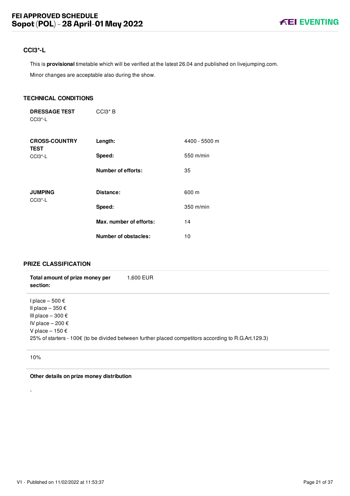# <span id="page-21-0"></span>**CCI3\*-L**

This is **provisional** timetable which will be verified at the latest 26.04 and published on livejumping.com.

Minor changes are acceptable also during the show.

#### **TECHNICAL CONDITIONS**

**DRESSAGE TEST** CCI3\*-L CCI3\* B

| <b>CROSS-COUNTRY</b><br><b>TEST</b> | Length:                 | 4400 - 5500 m |
|-------------------------------------|-------------------------|---------------|
| $CCI3^*$ -L                         | Speed:                  | 550 m/min     |
|                                     | Number of efforts:      | 35            |
| <b>JUMPING</b><br>$CCI3 - L$        | Distance:               | 600 m         |
|                                     | Speed:                  | $350$ m/min   |
|                                     | Max. number of efforts: | 14            |
|                                     | Number of obstacles:    | 10            |

# **PRIZE CLASSIFICATION**

| Total amount of prize money per<br>section:                                                                                      | 1,600 EUR                                                                                            |
|----------------------------------------------------------------------------------------------------------------------------------|------------------------------------------------------------------------------------------------------|
| I place $-500 \text{ } \in$<br>Il place $-350 \in$<br>III place $-300 \in$<br>IV place $-200 \in$<br>V place $-150 \text{ } \in$ | 25% of starters - 100€ (to be divided between further placed competitors according to R.G.Art.129.3) |

10%

-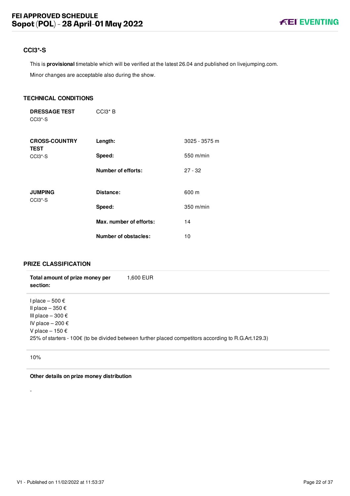# <span id="page-22-0"></span>**CCI3\*-S**

This is **provisional** timetable which will be verified at the latest 26.04 and published on livejumping.com.

Minor changes are acceptable also during the show.

#### **TECHNICAL CONDITIONS**

**DRESSAGE TEST** CCI3\*-S CCI3\* B

| <b>CROSS-COUNTRY</b><br><b>TEST</b>                | Length:                 | 3025 - 3575 m |
|----------------------------------------------------|-------------------------|---------------|
| CCI <sub>3</sub> <sup>*</sup> -S                   | Speed:                  | $550$ m/min   |
|                                                    | Number of efforts:      | $27 - 32$     |
| <b>JUMPING</b><br>CCI <sub>3</sub> <sup>*</sup> -S | Distance:               | 600 m         |
|                                                    | Speed:                  | 350 m/min     |
|                                                    | Max. number of efforts: | 14            |
|                                                    | Number of obstacles:    | 10            |

# **PRIZE CLASSIFICATION**

| Total amount of prize money per<br>section:                                                                                   | 1.600 EUR                                                                                            |
|-------------------------------------------------------------------------------------------------------------------------------|------------------------------------------------------------------------------------------------------|
| l place – 500 €<br>Il place $-350 \in$<br>III place $-300 \text{ } \in$<br>IV place $-200 \in$<br>V place $-150 \text{ } \in$ | 25% of starters - 100€ (to be divided between further placed competitors according to R.G.Art.129.3) |

10%

-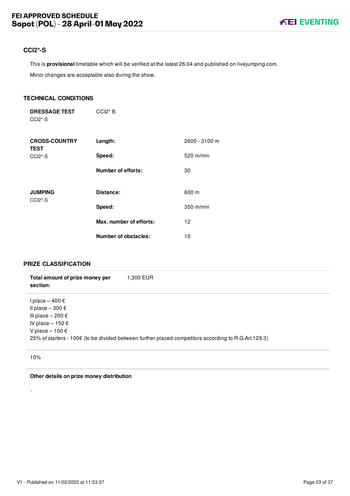# <span id="page-23-0"></span>**CCI2\*-S**

This is **provisional** timetable which will be verified at the latest 26.04 and published on livejumping.com.

Minor changes are acceptable also during the show.

#### **TECHNICAL CONDITIONS**

| <b>DRESSAGE TEST</b>             | $CCI2*B$ |
|----------------------------------|----------|
| CCI <sub>2</sub> <sup>*</sup> -S |          |

| <b>CROSS-COUNTRY</b><br><b>TEST</b>                | Length:                   | 2600 - 3100 m |
|----------------------------------------------------|---------------------------|---------------|
| $CCI2*-S$                                          | Speed:                    | $520$ m/min   |
|                                                    | <b>Number of efforts:</b> | 30            |
| <b>JUMPING</b><br>CCI <sub>2</sub> <sup>*</sup> -S | Distance:                 | 600 m         |
|                                                    | Speed:                    | $350$ m/min   |
|                                                    | Max. number of efforts:   | 12            |
|                                                    | Number of obstacles:      | 10            |

## **PRIZE CLASSIFICATION**

| Total amount of prize money per<br>section:                                                                                   | 1,300 EUR                                                                                            |
|-------------------------------------------------------------------------------------------------------------------------------|------------------------------------------------------------------------------------------------------|
| l place – 400 €<br>Il place $-300 \text{ } \in$<br>III place $-200 \in$<br>IV place $-150 \text{ } \in$<br>V place $-100 \in$ | 25% of starters - 100€ (to be divided between further placed competitors according to R.G.Art.129.3) |

10%

-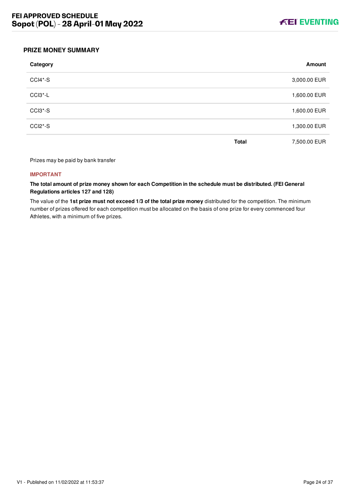

#### <span id="page-24-0"></span>**PRIZE MONEY SUMMARY**

| Category  |              | Amount       |
|-----------|--------------|--------------|
| CCI4*-S   |              | 3,000.00 EUR |
| CCI3*-L   |              | 1,600.00 EUR |
| CCI3*-S   |              | 1,600.00 EUR |
| $CCI2*-S$ |              | 1,300.00 EUR |
|           | <b>Total</b> | 7,500.00 EUR |

Prizes may be paid by bank transfer

#### **IMPORTANT**

**The total amount of prize money shown for each Competition in the schedule must be distributed. (FEI General Regulations articles 127 and 128)**

The value of the **1st prize must not exceed 1/3 of the total prize money** distributed for the competition. The minimum number of prizes offered for each competition must be allocated on the basis of one prize for every commenced four Athletes, with a minimum of five prizes.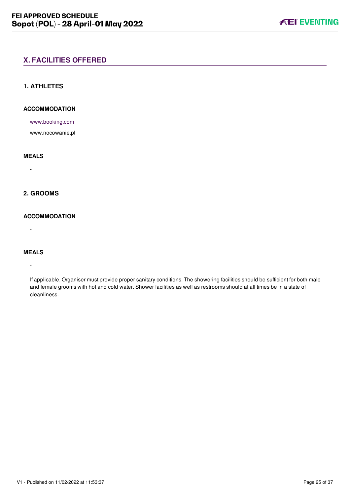# <span id="page-25-0"></span>**X. FACILITIES OFFERED**

### <span id="page-25-1"></span>**1. ATHLETES**

## **ACCOMMODATION**

[www.booking.com](file:///home/deployer/api-schedules/production/releases/37/symfony/public/www.booking.com)

www.nocowanie.pl

#### **MEALS**

-

## <span id="page-25-2"></span>**2. GROOMS**

## **ACCOMMODATION**

-

#### **MEALS**

-

If applicable, Organiser must provide proper sanitary conditions. The showering facilities should be sufficient for both male and female grooms with hot and cold water. Shower facilities as well as restrooms should at all times be in a state of cleanliness.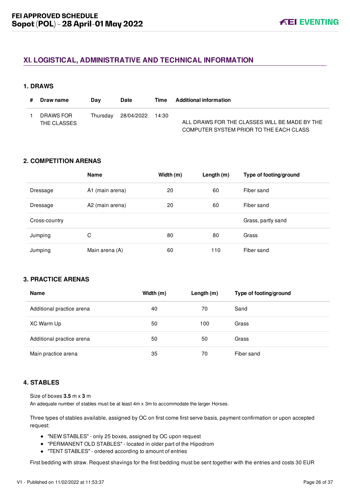# <span id="page-26-0"></span>**XI. LOGISTICAL, ADMINISTRATIVE AND TECHNICAL INFORMATION**

#### <span id="page-26-1"></span>**1. DRAWS**

| Draw name                | Dav      | <b>Date</b>      | Time | <b>Additional information</b>                                                            |
|--------------------------|----------|------------------|------|------------------------------------------------------------------------------------------|
| DRAWS FOR<br>THE CLASSES | Thursdav | 28/04/2022 14:30 |      | ALL DRAWS FOR THE CLASSES WILL BE MADE BY THE<br>COMPUTER SYSTEM PRIOR TO THE EACH CLASS |

### <span id="page-26-2"></span>**2. COMPETITION ARENAS**

|               | <b>Name</b>     | Width (m) | Length (m) | Type of footing/ground |
|---------------|-----------------|-----------|------------|------------------------|
| Dressage      | A1 (main arena) | 20        | 60         | Fiber sand             |
| Dressage      | A2 (main arena) | 20        | 60         | Fiber sand             |
| Cross-country |                 |           |            | Grass, partly sand     |
| Jumping       | C               | 80        | 80         | Grass                  |
| Jumping       | Main arena (A)  | 60        | 110        | Fiber sand             |

# <span id="page-26-3"></span>**3. PRACTICE ARENAS**

| <b>Name</b>               | Width (m) | Length $(m)$ | Type of footing/ground |
|---------------------------|-----------|--------------|------------------------|
| Additional practice arena | 40        | 70           | Sand                   |
| XC Warm Up                | 50        | 100          | Grass                  |
| Additional practice arena | 50        | 50           | Grass                  |
| Main practice arena       | 35        | 70           | Fiber sand             |

## <span id="page-26-4"></span>**4. STABLES**

Size of boxes **3.5** m x **3** m

An adequate number of stables must be at least 4m x 3m to accommodate the larger Horses.

Three types of stables available, assigned by OC on first come first serve basis, payment confirmation or upon accepted request:

- "NEW STABLES" only 25 boxes, assigned by OC upon request
- "PERMANENT OLD STABLES" located in older part of the Hipodrom
- "TENT STABLES" ordered according to amount of entries

First bedding with straw. Request shavings for the first bedding must be sent together with the entries and costs 30 EUR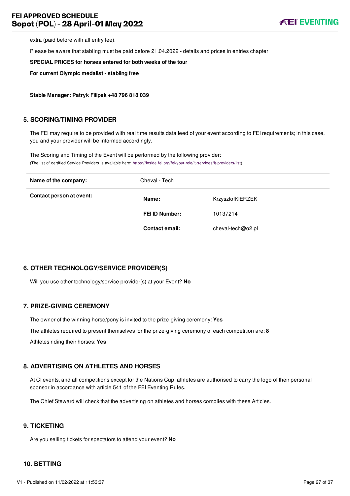# **FEI APPROVED SCHEDULE Sopot (POL) - 28 April-01 May 2022**



extra (paid before with all entry fee).

Please be aware that stabling must be paid before 21.04.2022 - details and prices in entries chapter

**SPECIAL PRICES for horses entered for both weeks of the tour**

**For current Olympic medalist - stabling free**

**Stable Manager: Patryk Filipek +48 796 818 039**

#### <span id="page-27-0"></span>**5. SCORING/TIMING PROVIDER**

The FEI may require to be provided with real time results data feed of your event according to FEI requirements; in this case, you and your provider will be informed accordingly.

The Scoring and Timing of the Event will be performed by the following provider: (The list of certified Service Providers is available here: [https://inside.fei.org/fei/your-role/it-services/it-providers/list\)](https://inside.fei.org/fei/your-role/it-services/it-providers/list)

| Name of the company:     | Cheval - Tech         |                   |
|--------------------------|-----------------------|-------------------|
| Contact person at event: | Name:                 | KrzysztofKIERZEK  |
|                          | <b>FEI ID Number:</b> | 10137214          |
|                          | <b>Contact email:</b> | cheval-tech@o2.pl |

#### <span id="page-27-1"></span>**6. OTHER TECHNOLOGY/SERVICE PROVIDER(S)**

Will you use other technology/service provider(s) at your Event? **No**

#### <span id="page-27-2"></span>**7. PRIZE-GIVING CEREMONY**

The owner of the winning horse/pony is invited to the prize-giving ceremony: **Yes** The athletes required to present themselves for the prize-giving ceremony of each competition are: **8**

Athletes riding their horses: **Yes**

#### <span id="page-27-3"></span>**8. ADVERTISING ON ATHLETES AND HORSES**

At CI events, and all competitions except for the Nations Cup, athletes are authorised to carry the logo of their personal sponsor in accordance with article 541 of the FEI Eventing Rules.

The Chief Steward will check that the advertising on athletes and horses complies with these Articles.

## <span id="page-27-4"></span>**9. TICKETING**

Are you selling tickets for spectators to attend your event? **No**

#### <span id="page-27-5"></span>**10. BETTING**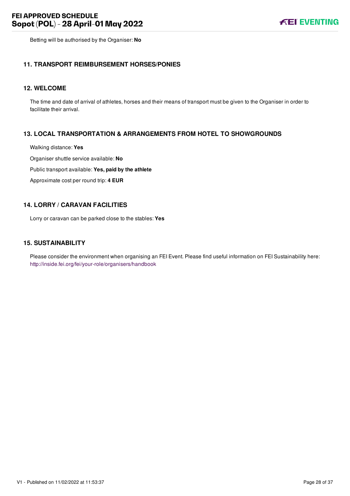Betting will be authorised by the Organiser: **No**

#### <span id="page-28-0"></span>**11. TRANSPORT REIMBURSEMENT HORSES/PONIES**

#### <span id="page-28-1"></span>**12. WELCOME**

The time and date of arrival of athletes, horses and their means of transport must be given to the Organiser in order to facilitate their arrival.

### <span id="page-28-2"></span>**13. LOCAL TRANSPORTATION & ARRANGEMENTS FROM HOTEL TO SHOWGROUNDS**

Walking distance: **Yes**

Organiser shuttle service available: **No**

Public transport available: **Yes, paid by the athlete**

Approximate cost per round trip: **4 EUR**

### <span id="page-28-3"></span>**14. LORRY / CARAVAN FACILITIES**

Lorry or caravan can be parked close to the stables: **Yes**

#### <span id="page-28-4"></span>**15. SUSTAINABILITY**

Please consider the environment when organising an FEI Event. Please find useful information on FEI Sustainability here: <http://inside.fei.org/fei/your-role/organisers/handbook>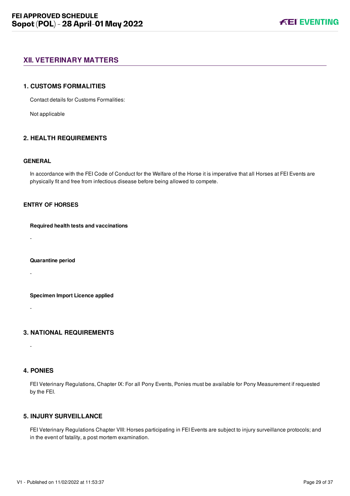# <span id="page-29-0"></span>**XII. VETERINARY MATTERS**

#### <span id="page-29-1"></span>**1. CUSTOMS FORMALITIES**

Contact details for Customs Formalities:

Not applicable

### <span id="page-29-2"></span>**2. HEALTH REQUIREMENTS**

#### **GENERAL**

In accordance with the FEI Code of Conduct for the Welfare of the Horse it is imperative that all Horses at FEI Events are physically fit and free from infectious disease before being allowed to compete.

#### **ENTRY OF HORSES**

#### **Required health tests and vaccinations**

-

#### **Quarantine period**

-

#### **Specimen Import Licence applied**

-

#### <span id="page-29-3"></span>**3. NATIONAL REQUIREMENTS**

#### <span id="page-29-4"></span>**4. PONIES**

-

FEI Veterinary Regulations, Chapter IX: For all Pony Events, Ponies must be available for Pony Measurement if requested by the FEI.

# <span id="page-29-5"></span>**5. INJURY SURVEILLANCE**

FEI Veterinary Regulations Chapter VIII: Horses participating in FEI Events are subject to injury surveillance protocols; and in the event of fatality, a post mortem examination.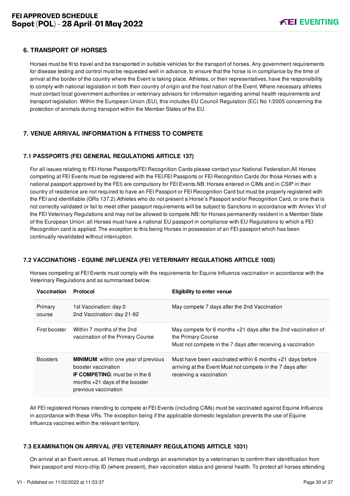## <span id="page-30-0"></span>**6. TRANSPORT OF HORSES**

Horses must be fit to travel and be transported in suitable vehicles for the transport of horses. Any government requirements for disease testing and control must be requested well in advance, to ensure that the horse is in compliance by the time of arrival at the border of the country where the Event is taking place. Athletes, or their representatives, have the responsibility to comply with national legislation in both their country of origin and the host nation of the Event. Where necessary athletes must contact local government authorities or veterinary advisors for information regarding animal health requirements and transport legislation. Within the European Union (EU), this includes EU Council Regulation (EC) No 1/2005 concerning the protection of animals during transport within the Member States of the EU.

# <span id="page-30-1"></span>**7. VENUE ARRIVAL INFORMATION & FITNESS TO COMPETE**

### <span id="page-30-2"></span>**7.1 PASSPORTS (FEI GENERAL REGULATIONS ARTICLE 137)**

For all issues relating to FEI Horse Passports/FEI Recognition Cards please contact your National Federation.All Horses competing at FEI Events must be registered with the FEI.FEI Passports or FEI Recognition Cards (for those Horses with a national passport approved by the FEI) are compulsory for FEI Events.NB: Horses entered in CIMs and in CSIP in their country of residence are not required to have an FEI Passport or FEI Recognition Card but must be properly registered with the FEI and identifiable (GRs 137.2).Athletes who do not present a Horse's Passport and/or Recognition Card, or one that is not correctly validated or fail to meet other passport requirements will be subject to Sanctions in accordance with Annex VI of the FEI Veterinary Regulations and may not be allowed to compete.NB: for Horses permanently resident in a Member State of the European Union: all Horses must have a national EU passport in compliance with EU Regulations to which a FEI Recognition card is applied. The exception to this being Horses in possession of an FEI passport which has been continually revalidated without interruption.

#### <span id="page-30-3"></span>**7.2 VACCINATIONS - EQUINE INFLUENZA (FEI VETERINARY REGULATIONS ARTICLE 1003)**

Horses competing at FEI Events must comply with the requirements for Equine Influenza vaccination in accordance with the Veterinary Regulations and as summarised below.

| Vaccination       | <b>Protocol</b>                                                                                                                                                         | <b>Eligibility to enter venue</b>                                                                                                                    |
|-------------------|-------------------------------------------------------------------------------------------------------------------------------------------------------------------------|------------------------------------------------------------------------------------------------------------------------------------------------------|
| Primary<br>course | 1st Vaccination: day 0<br>2nd Vaccination: day 21-92                                                                                                                    | May compete 7 days after the 2nd Vaccination                                                                                                         |
| First booster     | Within 7 months of the 2nd<br>vaccination of the Primary Course                                                                                                         | May compete for 6 months +21 days after the 2nd vaccination of<br>the Primary Course<br>Must not compete in the 7 days after receiving a vaccination |
| <b>Boosters</b>   | <b>MINIMUM:</b> within one year of previous<br>booster vaccination<br><b>IF COMPETING:</b> must be in the 6<br>months $+21$ days of the booster<br>previous vaccination | Must have been vaccinated within 6 months +21 days before<br>arriving at the Event Must not compete in the 7 days after<br>receiving a vaccination   |

All FEI registered Horses intending to compete at FEI Events (including CIMs) must be vaccinated against Equine Influenza in accordance with these VRs. The exception being if the applicable domestic legislation prevents the use of Equine Influenza vaccines within the relevant territory.

#### <span id="page-30-4"></span>**7.3 EXAMINATION ON ARRIVAL (FEI VETERINARY REGULATIONS ARTICLE 1031)**

On arrival at an Event venue, all Horses must undergo an examination by a veterinarian to confirm their identification from their passport and micro-chip ID (where present), their vaccination status and general health. To protect all horses attending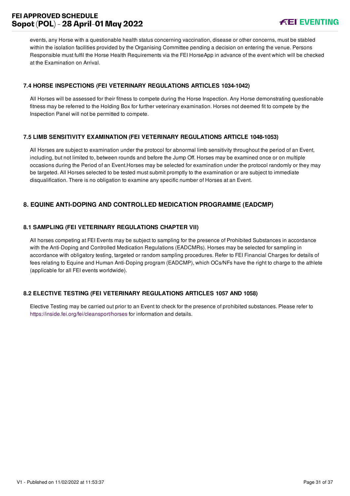# **FEI APPROVED SCHEDULE Sopot (POL) - 28 April-01 May 2022**



events, any Horse with a questionable health status concerning vaccination, disease or other concerns, must be stabled within the isolation facilities provided by the Organising Committee pending a decision on entering the venue. Persons Responsible must fulfil the Horse Health Requirements via the FEI HorseApp in advance of the event which will be checked at the Examination on Arrival.

### <span id="page-31-0"></span>**7.4 HORSE INSPECTIONS (FEI VETERINARY REGULATIONS ARTICLES 1034-1042)**

All Horses will be assessed for their fitness to compete during the Horse Inspection. Any Horse demonstrating questionable fitness may be referred to the Holding Box for further veterinary examination. Horses not deemed fit to compete by the Inspection Panel will not be permitted to compete.

### <span id="page-31-1"></span>**7.5 LIMB SENSITIVITY EXAMINATION (FEI VETERINARY REGULATIONS ARTICLE 1048-1053)**

All Horses are subject to examination under the protocol for abnormal limb sensitivity throughout the period of an Event, including, but not limited to, between rounds and before the Jump Off. Horses may be examined once or on multiple occasions during the Period of an Event.Horses may be selected for examination under the protocol randomly or they may be targeted. All Horses selected to be tested must submit promptly to the examination or are subject to immediate disqualification. There is no obligation to examine any specific number of Horses at an Event.

# <span id="page-31-2"></span>**8. EQUINE ANTI-DOPING AND CONTROLLED MEDICATION PROGRAMME (EADCMP)**

### <span id="page-31-3"></span>**8.1 SAMPLING (FEI VETERINARY REGULATIONS CHAPTER VII)**

All horses competing at FEI Events may be subject to sampling for the presence of Prohibited Substances in accordance with the Anti-Doping and Controlled Medication Regulations (EADCMRs). Horses may be selected for sampling in accordance with obligatory testing, targeted or random sampling procedures. Refer to FEI Financial Charges for details of fees relating to Equine and Human Anti-Doping program (EADCMP), which OCs/NFs have the right to charge to the athlete (applicable for all FEI events worldwide).

#### <span id="page-31-4"></span>**8.2 ELECTIVE TESTING (FEI VETERINARY REGULATIONS ARTICLES 1057 AND 1058)**

Elective Testing may be carried out prior to an Event to check for the presence of prohibited substances. Please refer to <https://inside.fei.org/fei/cleansport/horses>for information and details.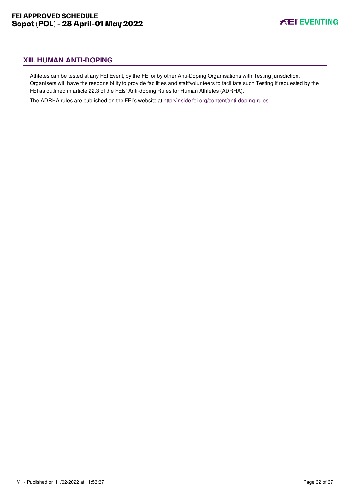# <span id="page-32-0"></span>**XIII. HUMAN ANTI-DOPING**

Athletes can be tested at any FEI Event, by the FEI or by other Anti-Doping Organisations with Testing jurisdiction. Organisers will have the responsibility to provide facilities and staff/volunteers to facilitate such Testing if requested by the FEI as outlined in article 22.3 of the FEIs' Anti-doping Rules for Human Athletes (ADRHA).

The ADRHA rules are published on the FEI's website at [http://inside.fei.org/content/anti-doping-rules.](http://inside.fei.org/content/anti-doping-rules)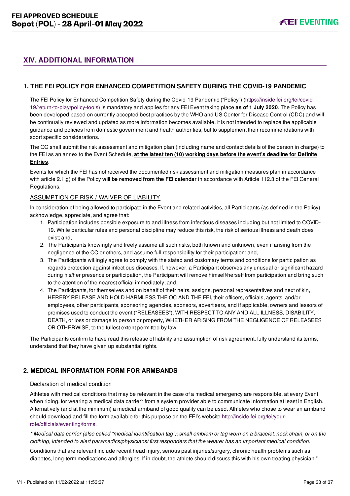# <span id="page-33-0"></span>**XIV. ADDITIONAL INFORMATION**

## <span id="page-33-1"></span>**1. THE FEI POLICY FOR ENHANCED COMPETITION SAFETY DURING THE COVID-19 PANDEMIC**

[The FEI Policy for Enhanced Competition Safety during the Covid-19 Pandemic \("Policy"\) \(https://inside.fei.org/fei/covid-](https://inside.fei.org/fei/covid-19/return-to-play/policy-tools)19/return-to-play/policy-tools) is mandatory and applies for any FEI Event taking place **as of 1 July 2020**. The Policy has been developed based on currently accepted best practices by the WHO and US Center for Disease Control (CDC) and will be continually reviewed and updated as more information becomes available. It is not intended to replace the applicable guidance and policies from domestic government and health authorities, but to supplement their recommendations with sport specific considerations.

The OC shall submit the risk assessment and mitigation plan (including name and contact details of the person in charge) to the FEI as an annex to the Event Schedule, **at the latest ten (10) working days before the event's deadline for Definite Entries**.

Events for which the FEI has not received the documented risk assessment and mitigation measures plan in accordance with article 2.1.g) of the Policy **will be removed from the FEI calendar** in accordance with Article 112.3 of the FEI General Regulations.

#### ASSUMPTION OF RISK / WAIVER OF LIABILITY

In consideration of being allowed to participate in the Event and related activities, all Participants (as defined in the Policy) acknowledge, appreciate, and agree that:

- 1. Participation includes possible exposure to and illness from infectious diseases including but not limited to COVID-19. While particular rules and personal discipline may reduce this risk, the risk of serious illness and death does exist; and,
- 2. The Participants knowingly and freely assume all such risks, both known and unknown, even if arising from the negligence of the OC or others, and assume full responsibility for their participation; and,
- 3. The Participants willingly agree to comply with the stated and customary terms and conditions for participation as regards protection against infectious diseases. If, however, a Participant observes any unusual or significant hazard during his/her presence or participation, the Participant will remove himself/herself from participation and bring such to the attention of the nearest official immediately; and,
- 4. The Participants, for themselves and on behalf of their heirs, assigns, personal representatives and next of kin, HEREBY RELEASE AND HOLD HARMLESS THE OC AND THE FEI, their officers, officials, agents, and/or employees, other participants, sponsoring agencies, sponsors, advertisers, and if applicable, owners and lessors of premises used to conduct the event ("RELEASEES"), WITH RESPECT TO ANY AND ALL ILLNESS, DISABILITY, DEATH, or loss or damage to person or property, WHETHER ARISING FROM THE NEGLIGENCE OF RELEASEES OR OTHERWISE, to the fullest extent permitted by law.

The Participants confirm to have read this release of liability and assumption of risk agreement, fully understand its terms, understand that they have given up substantial rights.

## <span id="page-33-2"></span>**2. MEDICAL INFORMATION FORM FOR ARMBANDS**

#### Declaration of medical condition

Athletes with medical conditions that may be relevant in the case of a medical emergency are responsible, at every Event when riding, for wearing a medical data carrier\* from a system provider able to communicate information at least in English. Alternatively (and at the minimum) a medical armband of good quality can be used. Athletes who chose to wear an armband [should download and fill the form available for this purpose on the FEI's website http://inside.fei.org/fei/your](http://inside.fei.org/fei/your-role/officials/eventing/forms)role/officials/eventing/forms.

*\* Medical data carrier (also called "medical identification tag"): small emblem or tag worn on a bracelet, neck chain, or on the clothing, intended to alert paramedics/physicians/ first responders that the wearer has an important medical condition.*

Conditions that are relevant include recent head injury, serious past injuries/surgery, chronic health problems such as diabetes, long-term medications and allergies. If in doubt, the athlete should discuss this with his own treating physician."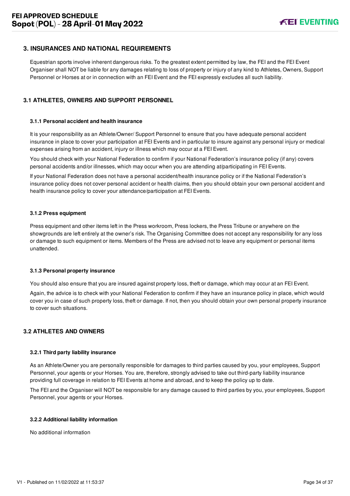## <span id="page-34-0"></span>**3. INSURANCES AND NATIONAL REQUIREMENTS**

Equestrian sports involve inherent dangerous risks. To the greatest extent permitted by law, the FEI and the FEI Event Organiser shall NOT be liable for any damages relating to loss of property or injury of any kind to Athletes, Owners, Support Personnel or Horses at or in connection with an FEI Event and the FEI expressly excludes all such liability.

#### <span id="page-34-1"></span>**3.1 ATHLETES, OWNERS AND SUPPORT PERSONNEL**

#### **3.1.1 Personal accident and health insurance**

It is your responsibility as an Athlete/Owner/ Support Personnel to ensure that you have adequate personal accident insurance in place to cover your participation at FEI Events and in particular to insure against any personal injury or medical expenses arising from an accident, injury or illness which may occur at a FEI Event.

You should check with your National Federation to confirm if your National Federation's insurance policy (if any) covers personal accidents and/or illnesses, which may occur when you are attending at/participating in FEI Events.

If your National Federation does not have a personal accident/health insurance policy or if the National Federation's insurance policy does not cover personal accident or health claims, then you should obtain your own personal accident and health insurance policy to cover your attendance/participation at FEI Events.

#### **3.1.2 Press equipment**

Press equipment and other items left in the Press workroom, Press lockers, the Press Tribune or anywhere on the showgrounds are left entirely at the owner's risk. The Organising Committee does not accept any responsibility for any loss or damage to such equipment or items. Members of the Press are advised not to leave any equipment or personal items unattended.

#### **3.1.3 Personal property insurance**

You should also ensure that you are insured against property loss, theft or damage, which may occur at an FEI Event.

Again, the advice is to check with your National Federation to confirm if they have an insurance policy in place, which would cover you in case of such property loss, theft or damage. If not, then you should obtain your own personal property insurance to cover such situations.

#### <span id="page-34-2"></span>**3.2 ATHLETES AND OWNERS**

#### **3.2.1 Third party liability insurance**

As an Athlete/Owner you are personally responsible for damages to third parties caused by you, your employees, Support Personnel, your agents or your Horses. You are, therefore, strongly advised to take out third-party liability insurance providing full coverage in relation to FEI Events at home and abroad, and to keep the policy up to date.

The FEI and the Organiser will NOT be responsible for any damage caused to third parties by you, your employees, Support Personnel, your agents or your Horses.

#### **3.2.2 Additional liability information**

No additional information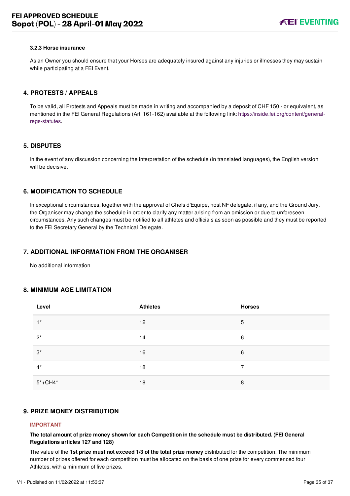#### **3.2.3 Horse insurance**

As an Owner you should ensure that your Horses are adequately insured against any injuries or illnesses they may sustain while participating at a FEI Event.

#### <span id="page-35-0"></span>**4. PROTESTS / APPEALS**

To be valid, all Protests and Appeals must be made in writing and accompanied by a deposit of CHF 150.- or equivalent, as [mentioned in the FEI General Regulations \(Art. 161-162\) available at the following link: https://inside.fei.org/content/general](https://inside.fei.org/content/general-regs-statutes)regs-statutes.

#### <span id="page-35-1"></span>**5. DISPUTES**

In the event of any discussion concerning the interpretation of the schedule (in translated languages), the English version will be decisive.

## <span id="page-35-2"></span>**6. MODIFICATION TO SCHEDULE**

In exceptional circumstances, together with the approval of Chefs d'Equipe, host NF delegate, if any, and the Ground Jury, the Organiser may change the schedule in order to clarify any matter arising from an omission or due to unforeseen circumstances. Any such changes must be notified to all athletes and officials as soon as possible and they must be reported to the FEI Secretary General by the Technical Delegate.

#### <span id="page-35-3"></span>**7. ADDITIONAL INFORMATION FROM THE ORGANISER**

No additional information

#### <span id="page-35-4"></span>**8. MINIMUM AGE LIMITATION**

| Level       | <b>Athletes</b> | <b>Horses</b> |
|-------------|-----------------|---------------|
| $1^*$       | 12              | 5             |
| $2^*$       | 14              | 6             |
| $3^*$       | 16              | 6             |
| $4^*$       | 18              | 7             |
| $5* + CH4*$ | 18              | 8             |

#### <span id="page-35-5"></span>**9. PRIZE MONEY DISTRIBUTION**

#### **IMPORTANT**

**The total amount of prize money shown for each Competition in the schedule must be distributed. (FEI General Regulations articles 127 and 128)**

The value of the **1st prize must not exceed 1/3 of the total prize money** distributed for the competition. The minimum number of prizes offered for each competition must be allocated on the basis of one prize for every commenced four Athletes, with a minimum of five prizes.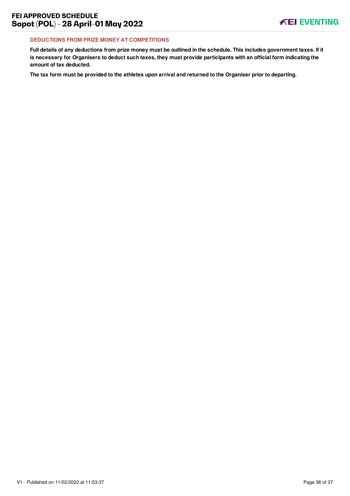#### **DEDUCTIONS FROM PRIZE MONEY AT COMPETITIONS**

**Full details of any deductions from prize money must be outlined in the schedule. This includes government taxes. If it is necessary for Organisers to deduct such taxes, they must provide participants with an official form indicating the amount of tax deducted.**

**The tax form must be provided to the athletes upon arrival and returned to the Organiser prior to departing.**